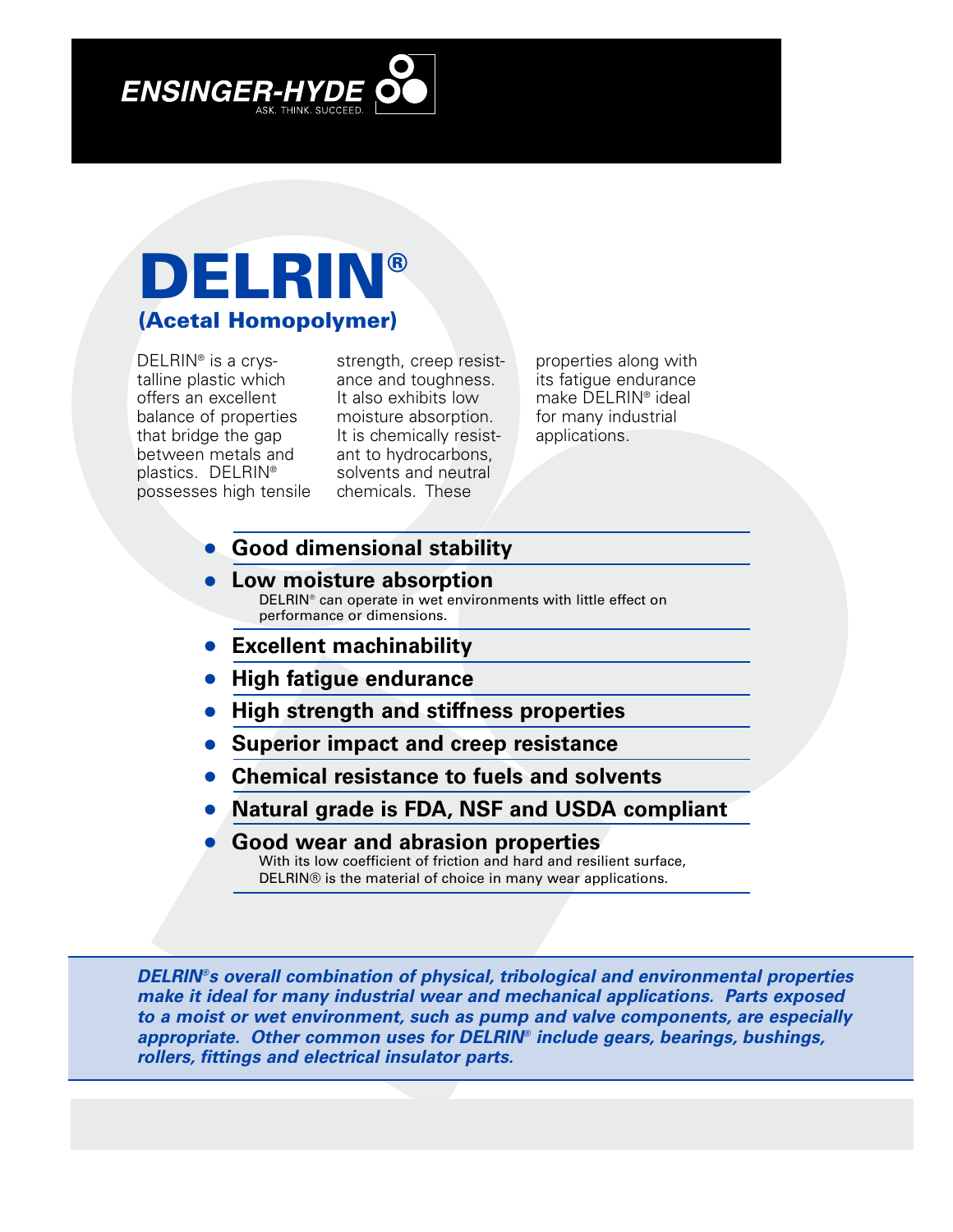## **DELRIN® (Acetal Homopolymer)**

DELRIN® is a crystalline plastic which offers an excellent balance of properties that bridge the gap between metals and plastics. DELRIN® possesses high tensile

strength, creep resistance and toughness. It also exhibits low moisture absorption. It is chemically resistant to hydrocarbons, solvents and neutral chemicals. These

properties along with its fatigue endurance make DELRIN® ideal for many industrial applications.

- **• Good dimensional stability**
- **• Low moisture absorption** DELRIN® can operate in wet environments with little effect on performance or dimensions.
- **• Excellent machinability**
- **• High fatigue endurance**
- **• High strength and stiffness properties**
- **• Superior impact and creep resistance**
- **• Chemical resistance to fuels and solvents**
- **• Natural grade is FDA, NSF and USDA compliant**
- **• Good wear and abrasion properties** With its low coefficient of friction and hard and resilient surface. DELRIN® is the material of choice in many wear applications.

*DELRIN®s overall combination of physical, tribological and environmental properties make it ideal for many industrial wear and mechanical applications. Parts exposed to a moist or wet environment, such as pump and valve components, are especially appropriate. Other common uses for DELRIN® include gears, bearings, bushings, rollers, fittings and electrical insulator parts.*